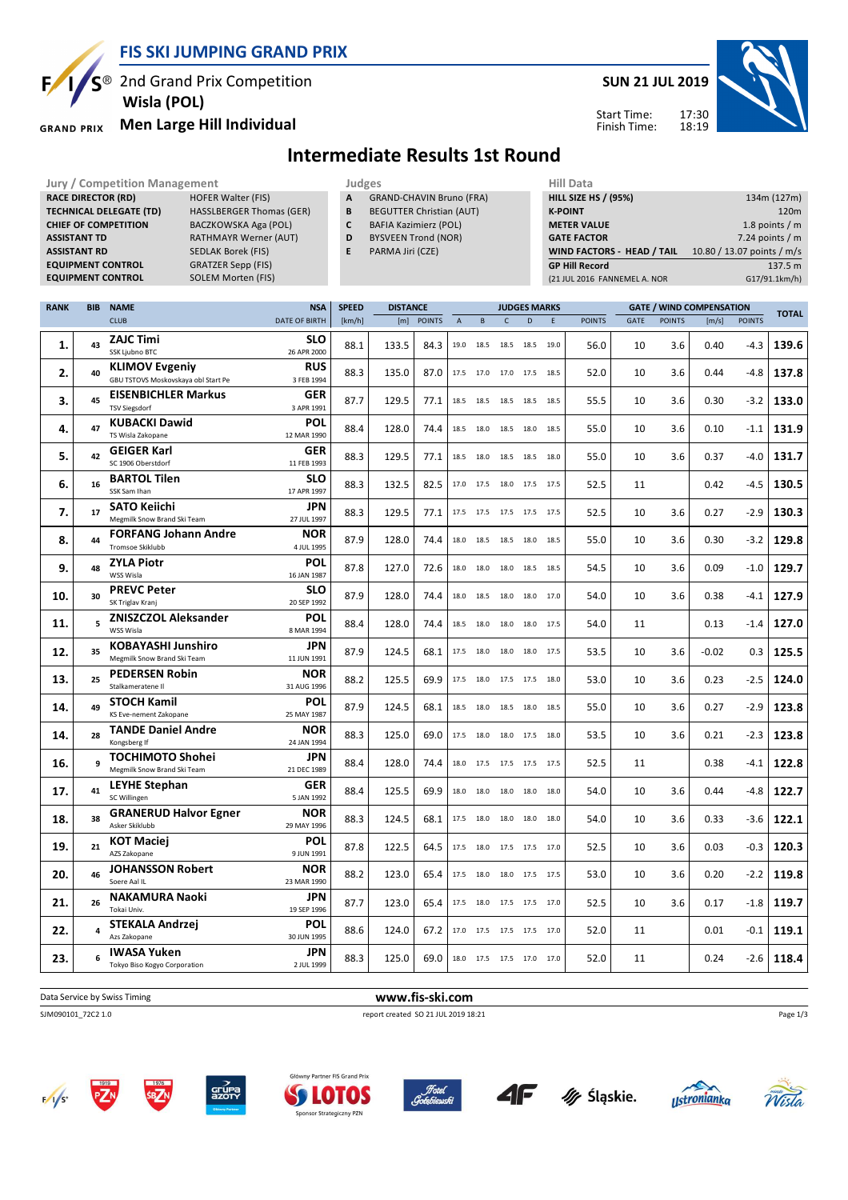

S<sup>®</sup> 2nd Grand Prix Competition

 **Wisla (POL)**

### **Men Large Hill Individual GRAND PRIX**

Ę



Start Time: Finish Time:

# **Intermediate Results 1st Round**

| <b>Jury / Competition Management</b>     |                                 | Judges       |                                                  | Hill Data                   |                     |                |                              |                    |                  |                                 |               |                  |  |
|------------------------------------------|---------------------------------|--------------|--------------------------------------------------|-----------------------------|---------------------|----------------|------------------------------|--------------------|------------------|---------------------------------|---------------|------------------|--|
| <b>RACE DIRECTOR (RD)</b>                | <b>HOFER Walter (FIS)</b>       | A            | <b>GRAND-CHAVIN Bruno (FRA)</b>                  | <b>HILL SIZE HS / (95%)</b> |                     |                |                              | 134m (127m)        |                  |                                 |               |                  |  |
| <b>TECHNICAL DELEGATE (TD)</b>           | <b>HASSLBERGER Thomas (GER)</b> | B            | <b>BEGUTTER Christian (AUT)</b>                  |                             |                     | <b>K-POINT</b> |                              |                    |                  |                                 |               | 120 <sub>m</sub> |  |
| <b>CHIEF OF COMPETITION</b>              | BACZKOWSKA Aga (POL)            |              | BAFIA Kazimierz (POL)                            |                             |                     |                |                              | <b>METER VALUE</b> |                  |                                 |               | 1.8 points $/m$  |  |
| <b>ASSISTANT TD</b>                      | <b>RATHMAYR Werner (AUT)</b>    | D            | <b>BYSVEEN Trond (NOR)</b><br><b>GATE FACTOR</b> |                             |                     |                |                              |                    | 7.24 points $/m$ |                                 |               |                  |  |
| <b>ASSISTANT RD</b>                      | SEDLAK Borek (FIS)              | E.           | WIND FACTORS - HEAD / TAIL<br>PARMA Jiri (CZE)   |                             |                     |                |                              |                    |                  | 10.80 / 13.07 points / m/s      |               |                  |  |
| <b>EQUIPMENT CONTROL</b>                 | <b>GRATZER Sepp (FIS)</b>       |              |                                                  |                             |                     |                | <b>GP Hill Record</b>        |                    |                  |                                 |               | 137.5 m          |  |
| <b>EQUIPMENT CONTROL</b>                 | SOLEM Morten (FIS)              |              |                                                  |                             |                     |                | (21 JUL 2016 FANNEMEL A. NOR |                    |                  |                                 |               | G17/91.1km/h)    |  |
|                                          |                                 |              |                                                  |                             |                     |                |                              |                    |                  |                                 |               |                  |  |
| <b>NAME</b><br><b>RANK</b><br><b>BIB</b> | <b>NSA</b>                      | <b>SPEED</b> | <b>DISTANCE</b>                                  |                             | <b>JUDGES MARKS</b> |                |                              |                    |                  | <b>GATE / WIND COMPENSATION</b> |               | <b>TOTAL</b>     |  |
| <b>CLUB</b>                              | <b>DATE OF BIRTH</b>            | [km/h]       | [m] POINTS                                       | в                           |                     |                | <b>POINTS</b>                | <b>GATE</b>        | <b>POINTS</b>    | $\lfloor m/s \rfloor$           | <b>POINTS</b> |                  |  |

|     |    | <b>CLUB</b>                                                  | DATE OF BIRTH             | [km/h] | [m]   | <b>POINTS</b> | $\overline{A}$ | B         | $\mathsf{C}$                 | D    | E    | <b>POINTS</b> | <b>GATE</b> | <b>POINTS</b> | [m/s]   | <b>POINTS</b> | IUIAL |
|-----|----|--------------------------------------------------------------|---------------------------|--------|-------|---------------|----------------|-----------|------------------------------|------|------|---------------|-------------|---------------|---------|---------------|-------|
| 1.  | 43 | <b>ZAJC Timi</b><br>SSK Ljubno BTC                           | <b>SLO</b><br>26 APR 2000 | 88.1   | 133.5 | 84.3          |                | 19.0 18.5 | 18.5 18.5                    |      | 19.0 | 56.0          | 10          | 3.6           | 0.40    | -4.3          | 139.6 |
| 2.  | 40 | <b>KLIMOV Evgeniy</b><br>GBU TSTOVS Moskovskaya obl Start Pe | <b>RUS</b><br>3 FEB 1994  | 88.3   | 135.0 | 87.0          |                |           | 17.5 17.0 17.0 17.5          |      | 18.5 | 52.0          | 10          | 3.6           | 0.44    | -4.8          | 137.8 |
| 3.  | 45 | <b>EISENBICHLER Markus</b><br><b>TSV Siegsdorf</b>           | GER<br>3 APR 1991         | 87.7   | 129.5 | 77.1          | 18.5           | 18.5      | 18.5                         | 18.5 | 18.5 | 55.5          | 10          | 3.6           | 0.30    | $-3.2$        | 133.0 |
| 4.  | 47 | <b>KUBACKI Dawid</b><br>TS Wisla Zakopane                    | <b>POL</b><br>12 MAR 1990 | 88.4   | 128.0 | 74.4          |                | 18.5 18.0 | 18.5 18.0                    |      | 18.5 | 55.0          | 10          | 3.6           | 0.10    | $-1.1$        | 131.9 |
| 5.  | 42 | <b>GEIGER Karl</b><br>SC 1906 Oberstdorf                     | <b>GER</b><br>11 FEB 1993 | 88.3   | 129.5 | 77.1          | 18.5           | 18.0      | 18.5                         | 18.5 | 18.0 | 55.0          | 10          | 3.6           | 0.37    | -4.0          | 131.7 |
| 6.  | 16 | <b>BARTOL Tilen</b><br>SSK Sam Ihan                          | <b>SLO</b><br>17 APR 1997 | 88.3   | 132.5 | 82.5          |                | 17.0 17.5 | 18.0 17.5                    |      | 17.5 | 52.5          | 11          |               | 0.42    | -4.5          | 130.5 |
| 7.  | 17 | <b>SATO Keiichi</b>                                          | <b>JPN</b>                | 88.3   | 129.5 | 77.1          |                |           | 17.5 17.5 17.5 17.5          |      | 17.5 | 52.5          | 10          | 3.6           | 0.27    | $-2.9$        | 130.3 |
| 8.  | 44 | Megmilk Snow Brand Ski Team<br><b>FORFANG Johann Andre</b>   | 27 JUL 1997<br><b>NOR</b> | 87.9   | 128.0 | 74.4          |                |           | 18.0  18.5  18.5  18.0       |      | 18.5 | 55.0          | 10          | 3.6           | 0.30    | $-3.2$        | 129.8 |
| 9.  | 48 | <b>Tromsoe Skiklubb</b><br><b>ZYLA Piotr</b>                 | 4 JUL 1995<br>POL         | 87.8   | 127.0 | 72.6          |                | 18.0 18.0 | 18.0 18.5                    |      | 18.5 | 54.5          | 10          | 3.6           | 0.09    | $-1.0$        | 129.7 |
|     |    | WSS Wisla<br><b>PREVC Peter</b>                              | 16 JAN 1987<br><b>SLO</b> |        |       |               |                |           |                              |      |      |               |             |               |         |               |       |
| 10. | 30 | SK Triglav Kranj                                             | 20 SEP 1992               | 87.9   | 128.0 | 74.4          |                | 18.0 18.5 | 18.0 18.0                    |      | 17.0 | 54.0          | 10          | 3.6           | 0.38    | $-4.1$        | 127.9 |
| 11. |    | <b>ZNISZCZOL Aleksander</b><br>WSS Wisla                     | <b>POL</b><br>8 MAR 1994  | 88.4   | 128.0 | 74.4          | 18.5           | 18.0      | 18.0                         | 18.0 | 17.5 | 54.0          | 11          |               | 0.13    | $-1.4$        | 127.0 |
| 12. | 35 | <b>KOBAYASHI Junshiro</b><br>Megmilk Snow Brand Ski Team     | <b>JPN</b><br>11 JUN 1991 | 87.9   | 124.5 | 68.1          | 17.5           | 18.0      | 18.0                         | 18.0 | 17.5 | 53.5          | 10          | 3.6           | $-0.02$ | 0.3           | 125.5 |
| 13. | 25 | <b>PEDERSEN Robin</b><br>Stalkameratene II                   | <b>NOR</b><br>31 AUG 1996 | 88.2   | 125.5 | 69.9          |                |           | 17.5 18.0 17.5 17.5          |      | 18.0 | 53.0          | 10          | 3.6           | 0.23    | -2.5          | 124.0 |
| 14. | 49 | <b>STOCH Kamil</b><br>KS Eve-nement Zakopane                 | POL<br>25 MAY 1987        | 87.9   | 124.5 | 68.1          | 18.5           | 18.0      | 18.5 18.0                    |      | 18.5 | 55.0          | 10          | 3.6           | 0.27    | $-2.9$        | 123.8 |
| 14. | 28 | <b>TANDE Daniel Andre</b><br>Kongsberg If                    | <b>NOR</b><br>24 JAN 1994 | 88.3   | 125.0 | 69.0          |                |           | 17.5  18.0  18.0  17.5  18.0 |      |      | 53.5          | 10          | 3.6           | 0.21    | $-2.3$        | 123.8 |
| 16. |    | <b>TOCHIMOTO Shohei</b><br>Megmilk Snow Brand Ski Team       | <b>JPN</b><br>21 DEC 1989 | 88.4   | 128.0 | 74.4          |                |           | 18.0 17.5 17.5 17.5 17.5     |      |      | 52.5          | 11          |               | 0.38    | $-4.1$        | 122.8 |
| 17. | 41 | <b>LEYHE Stephan</b><br>SC Willingen                         | GER<br>5 JAN 1992         | 88.4   | 125.5 | 69.9          |                |           | 18.0 18.0 18.0 18.0          |      | 18.0 | 54.0          | 10          | 3.6           | 0.44    | -4.8          | 122.7 |
| 18. | 38 | <b>GRANERUD Halvor Egner</b>                                 | <b>NOR</b>                | 88.3   | 124.5 | 68.1          |                | 17.5 18.0 | 18.0                         | 18.0 | 18.0 | 54.0          | 10          | 3.6           | 0.33    | $-3.6$        | 122.1 |
| 19. | 21 | Asker Skiklubb<br><b>KOT Maciej</b>                          | 29 MAY 1996<br><b>POL</b> | 87.8   | 122.5 | 64.5          | 17.5           | 18.0      | 17.5 17.5                    |      | 17.0 | 52.5          | 10          | 3.6           | 0.03    | $-0.3$        | 120.3 |
| 20. | 46 | AZS Zakopane<br><b>JOHANSSON Robert</b>                      | 9 JUN 1991<br><b>NOR</b>  | 88.2   | 123.0 | 65.4          | 17.5           | 18.0      | 18.0 17.5                    |      | 17.5 | 53.0          | 10          | 3.6           | 0.20    | $-2.2$        | 119.8 |
| 21. | 26 | Soere Aal IL<br><b>NAKAMURA Naoki</b>                        | 23 MAR 1990<br><b>JPN</b> | 87.7   | 123.0 | 65.4          | 17.5           | 18.0      | 17.5 17.5                    |      | 17.0 | 52.5          | 10          | 3.6           | 0.17    | $-1.8$        | 119.7 |
|     |    | Tokai Univ.<br><b>STEKALA Andrzej</b>                        | 19 SEP 1996<br><b>POL</b> |        |       |               |                |           |                              |      |      |               |             |               |         |               |       |
| 22. |    | Azs Zakopane                                                 | 30 JUN 1995               | 88.6   | 124.0 | 67.2          |                |           | 17.0 17.5 17.5 17.5          |      | 17.0 | 52.0          | 11          |               | 0.01    | -0.1          | 119.1 |
| 23. |    | <b>IWASA Yuken</b><br>Tokyo Biso Kogyo Corporation           | <b>JPN</b><br>2 JUL 1999  | 88.3   | 125.0 | 69.0          |                |           | 18.0 17.5 17.5 17.0 17.0     |      |      | 52.0          | 11          |               | 0.24    | $-2.6$        | 118.4 |

**Data Service by Swiss Timing WWW.fis-ski.com** 

SJM090101\_72C2 1.0 report created SO 21 JUL 2019 18:21















Page 1/3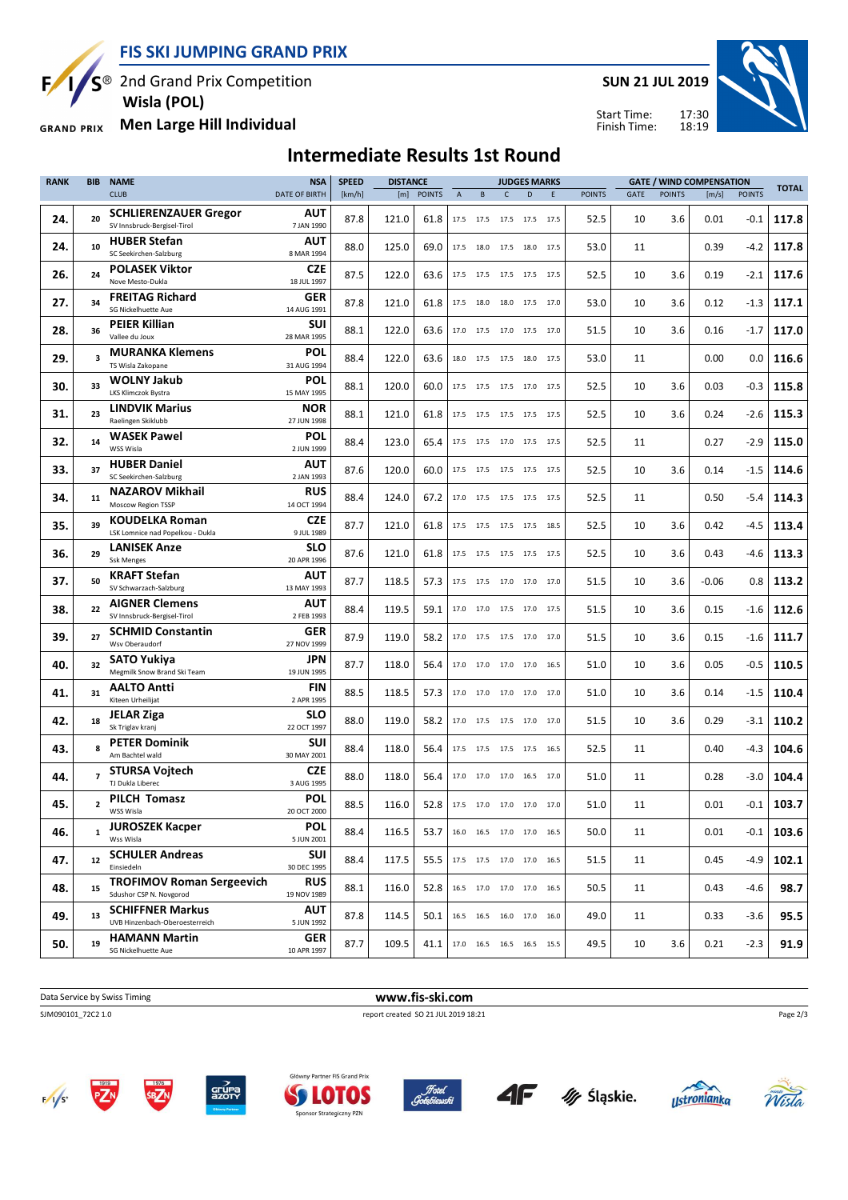**FIS SKI JUMPING GRAND PRIX**

**5<sup>®</sup>** 2nd Grand Prix Competition

 **Wisla (POL)**

**Men Large Hill Individual GRAND PRIX** 

### **Intermediate Results 1st Round**

**RANK BIB NAME**  $CULB$ **NSA** DATE OF BIRTH **SPEED** [km/h] **DISTANCE** [m] POINTS **JUDGES MARKS** A B C D E POINTS **GATE / WIND COMPENSATION** GATE POINTS [m/s] POINTS **TOTAL 24. 20** SV Innsbruck-Bergisel-Tirol **SCHLIERENZAUER Gregor** 7 JAN 1990 **AUT** 87.8 121.0 61.8 17.5 17.5 17.5 17.5 17.5 52.5 10 3.6 0.01 -0.1 **117.8**  $24.$   $10$ SC Seekirchen-Salzburg **HUBER Stefan** 8 MAR 1994 **AUT** 88.0 125.0 69.0 17.5 18.0 17.5 18.0 17.5 53.0 11 0.39 -4.2 117.8 **26. 24** Nove Mesto-Dukla **POLASEK Viktor** 18 JUL 1997 **CZE** 87.5 122.0 63.6 17.5 17.5 17.5 17.5 17.5 52.5 10 3.6 0.19 -2.1 **117.6 27. 34** SG Nickelhuette Aue **FREITAG Richard** 14 AUG 1991 **GER** 87.8 121.0 61.8 17.5 18.0 18.0 17.5 17.0 53.0 10 3.6 0.12 -1.3 117.1 **28. 36** Vallee du Joux **PEIER Killian** 28 MAR 1995 **SUI** 88.1 122.0 63.6 17.0 17.5 17.0 17.5 17.0 51.5 10 3.6 0.16 -1.7 117.0  $29.3$ TS Wisla Zakopane **MURANKA Klemens** 31 AUG 1994 **POL** 88.4 122.0 63.6 18.0 17.5 18.0 17.5 53.0 11 0.00 0.0 116.6 **30. 33** LKS Klimczok Bystra **WOLNY Jakub** 15 MAY 1995 **POL** 88.1 120.0 60.0 17.5 17.5 17.0 17.5 52.5 10 3.6 0.03 -0.3 115.8  $31.$   $23$ Raelingen Skiklubb **LINDVIK Marius** 27 JUN 1998 **NOR** 88.1 121.0 61.8 17.5 17.5 17.5 17.5 17.5 52.5 10 3.6 0.24 -2.6 **115.3 32. 14** WSS Wisla **WASEK Pawel** 2 JUN 1999 **POL** 88.4 123.0 65.4 1.7.5 1.7.5 1.7.5 1.7.5 1.7.5 52.5 11 **33. 37** SC Seekirchen-Salzburg **HUBER Daniel** 2 JAN 1993 **AUT** 87.6 120.0 60.0 17.5 17.5 17.5 17.5 17.5 52.5 10 3.6 0.14 -1.5 **114.6 34. 11** Moscow Region TSSP **NAZAROV Mikhail** 14 OCT 1994 **RUS** 88.4 124.0 67.2 17.0 17.5 17.5 17.5 17.5 52.5 11 0.50 -5.4 114.3 **35. 39** LSK Lomnice nad Popelkou - Dukla **KOUDELKA Roman** 9 JUL 1989 **CZE** 87.7 121.0 61.8 17.5 17.5 17.5 17.5 18.5 52.5 10 3.6 0.42 -4.5 **113.4 36. 29** Ssk Menges **LANISEK Anze** 20 APR 1996 **SLO** 87.6 121.0 61.8 17.5 17.5 17.5 17.5 17.5 52.5 10 3.6 0.43 -4.6 **113.3 37. 50** SV Schwarzach-Salzburg **KRAFT Stefan** 13 MAY 1993 **AUT** 87.7 118.5 57.3 17.5 17.5 17.0 17.0 17.0 51.5 10 3.6 -0.06 0.8 113.2  $38.$   $22$ SV Innsbruck-Bergisel-Tirol **AIGNER Clemens** 2 FEB 1993 **AUT** 88.4 119.5 59.1 17.0 17.0 17.5 17.0 17.5 51.5 10 3.6 0.15 -1.6 112.6 **39. 27** Wsv Oberaudorf **SCHMID Constantin** 27 NOV 1999 **GER** 87.9 119.0 58.2 17.0 17.5 17.5 17.0 17.0 51.5 10 3.6 0.15 -1.6 111.7 **40. 32** Megmilk Snow Brand Ski Team **SATO Yukiya** 19 JUN 1995 **JPN** 87.7 118.0 56.4 17.0 17.0 17.0 16.5 51.0 10 3.6 0.05 -0.5 110.5 **41. 31** Kiteen Urheilijat **AALTO Antti** 2 APR 1995 **FIN** 88.5 118.5 57.3 17.0 17.0 17.0 17.0 17.0 51.0 10 3.6 0.14 -1.5 110.4 **42. 18** Sk Triglav kranj **JELAR Ziga** 22 OCT 1997 **SLO** 88.0 119.0 58.2 17.0 17.5 17.5 17.0 17.0 51.5 10 3.6 0.29 -3.1 **110.2**  $43.$  8 Am Bachtel wald **PETER Dominik** 30 MAY 2001 **SUI** 88.4 118.0 56.4 17.5 17.5 17.5 16.5 52.5 11 0.40 -4.3 104.6 **44. 7** TJ Dukla Liberec **STURSA Vojtech** 3 AUG 1995 **CZE** 88.0 118.0 56.4 17.0 17.0 16.5 17.0 51.0 11 0.28 -3.0 104.4  $45.$  | 2 WSS Wisla **PILCH Tomasz** 20 OCT 2000 **POL** 88.5 116.0 52.8 17.5 17.0 17.0 17.0 17.0 51.0 11 0.01 -0.1 103.7  $46.$  1 Wee Wiela **JUROSZEK Kacper** 5 JUN 2001 **POL** 88.4 116.5 53.7 16.0 16.5 17.0 17.0 16.5 50.0 11 0.01 -0.1 **103.6 47. 12** Einsiedeln **SCHULER Andreas** 30 DEC 1995 **SUI** 88.4 117.5 55.5 17.5 17.5 17.0 17.0 16.5 51.5 11 0.45 -4.9 102.1 **48. 15** Sdushor CSP N. Novgorod **TROFIMOV Roman Sergeevich** 19 NOV 1989 **RUS** 88.1 116.0 52.8 16.5 17.0 17.0 17.0 16.5 50.5 11 0.43 -4.6 **98.7 49. 13** UVB Hinzenbach-Oberoesterreich **SCHIFFNER Markus** 5 JUN 1992 **AUT** 87.8 114.5 50.1 16.5 16.5 16.0 17.0 16.0 49.0 11 0.33 -3.6 95.5 **50. 19** SG Nickelhuette Aue **HAMANN Martin** 10 APR 1997 **GER** 87.7 109.5 41.1 17.0 16.5 16.5 16.5 15.5 49.5 10 3.6 0.21 -2.3 91.9

















Page 2/3

17:30 18:19 Start Time: Finish Time: